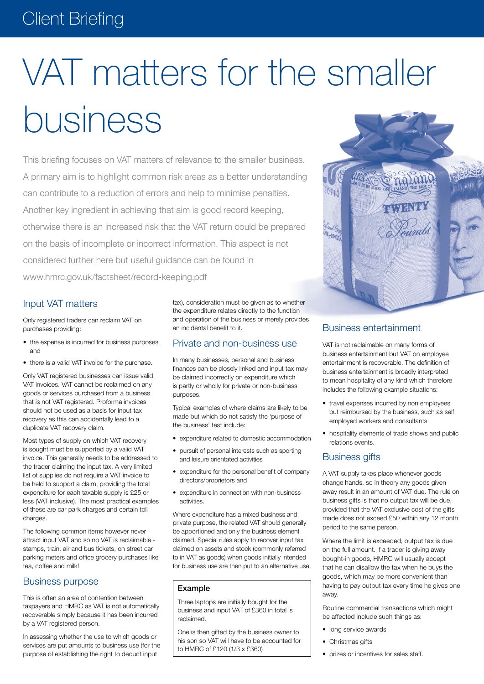# Client Briefing

# VAT matters for the smaller business

This briefing focuses on VAT matters of relevance to the smaller business. A primary aim is to highlight common risk areas as a better understanding can contribute to a reduction of errors and help to minimise penalties. Another key ingredient in achieving that aim is good record keeping, otherwise there is an increased risk that the VAT return could be prepared on the basis of incomplete or incorrect information. This aspect is not considered further here but useful guidance can be found in www.hmrc.gov.uk/factsheet/record-keeping.pdf

## Input VAT matters

Only registered traders can reclaim VAT on purchases providing:

- the expense is incurred for business purposes and
- there is a valid VAT invoice for the purchase.

Only VAT registered businesses can issue valid VAT invoices. VAT cannot be reclaimed on any goods or services purchased from a business that is not VAT registered. Proforma invoices should not be used as a basis for input tax recovery as this can accidentally lead to a duplicate VAT recovery claim.

Most types of supply on which VAT recovery is sought must be supported by a valid VAT invoice. This generally needs to be addressed to the trader claiming the input tax. A very limited list of supplies do not require a VAT invoice to be held to support a claim, providing the total expenditure for each taxable supply is £25 or less (VAT inclusive). The most practical examples of these are car park charges and certain toll charges.

The following common items however never attract input VAT and so no VAT is reclaimable stamps, train, air and bus tickets, on street car parking meters and office grocery purchases like tea, coffee and milk!

#### Business purpose

This is often an area of contention between taxpayers and HMRC as VAT is not automatically recoverable simply because it has been incurred by a VAT registered person.

In assessing whether the use to which goods or services are put amounts to business use (for the purpose of establishing the right to deduct input

tax), consideration must be given as to whether the expenditure relates directly to the function and operation of the business or merely provides an incidental benefit to it.

#### Private and non-business use

In many businesses, personal and business finances can be closely linked and input tax may be claimed incorrectly on expenditure which is partly or wholly for private or non-business purposes.

Typical examples of where claims are likely to be made but which do not satisfy the 'purpose of the business' test include:

- expenditure related to domestic accommodation
- pursuit of personal interests such as sporting and leisure orientated activities
- expenditure for the personal benefit of company directors/proprietors and
- • expenditure in connection with non-business activities.

Where expenditure has a mixed business and private purpose, the related VAT should generally be apportioned and only the business element claimed. Special rules apply to recover input tax claimed on assets and stock (commonly referred to in VAT as goods) when goods initially intended for business use are then put to an alternative use.

#### Example

Three laptops are initially bought for the business and input VAT of £360 in total is reclaimed.

One is then gifted by the business owner to his son so VAT will have to be accounted for to HMRC of £120 (1/3 x £360)



VAT is not reclaimable on many forms of business entertainment but VAT on employee entertainment is recoverable. The definition of business entertainment is broadly interpreted to mean hospitality of any kind which therefore includes the following example situations:

- travel expenses incurred by non employees but reimbursed by the business, such as self employed workers and consultants
- hospitality elements of trade shows and public relations events.

#### Business gifts

A VAT supply takes place whenever goods change hands, so in theory any goods given away result in an amount of VAT due. The rule on business gifts is that no output tax will be due, provided that the VAT exclusive cost of the gifts made does not exceed £50 within any 12 month period to the same person.

Where the limit is exceeded, output tax is due on the full amount. If a trader is giving away bought-in goods, HMRC will usually accept that he can disallow the tax when he buys the goods, which may be more convenient than having to pay output tax every time he gives one away.

Routine commercial transactions which might be affected include such things as:

- long service awards
- Christmas gifts
- prizes or incentives for sales staff.